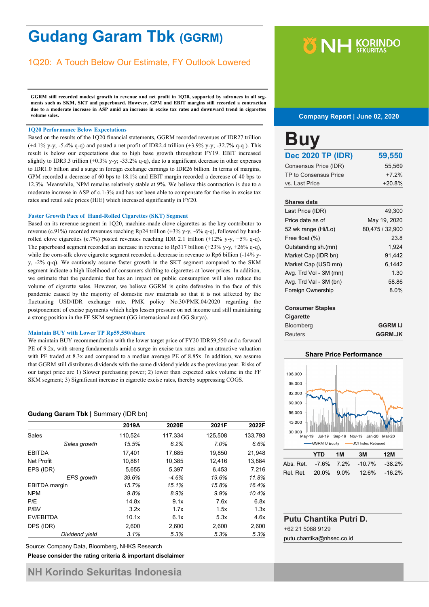# **Gudang Garam Tbk (GGRM)**

# 1Q20: A Touch Below Our Estimate, FY Outlook Lowered

**GGRM still recorded modest growth in revenue and net profit in 1Q20, supported by advances in all segments such as SKM, SKT and paperboard. However, GPM and EBIT margins still recorded a contraction due to a moderate increase in ASP amid an increase in excise tax rates and downward trend in cigarettes volume sales.**

#### **1Q20 Performance Below Expectations**

Based on the results of the 1Q20 financial statements, GGRM recorded revenues of IDR27 trillion (+4.1% y-y; -5.4% q-q) and posted a net profit of IDR2.4 trillion (+3.9% y-y; -32.7% q-q ). This result is below our expectations due to high base growth throughout FY19. EBIT increased slightly to IDR3.3 trillion (+0.3% y-y; -33.2% q-q), due to a significant decrease in other expenses to IDR1.0 billion and a surge in foreign exchange earnings to IDR26 billion. In terms of margins, GPM recorded a decrease of 60 bps to 18.1% and EBIT margin recorded a decrease of 40 bps to 12.3%. Meanwhile, NPM remains relatively stable at 9%. We believe this contraction is due to a moderate increase in ASP of c.1-3% and has not been able to compensate for the rise in excise tax rates and retail sale prices (HJE) which increased significantly in FY20.

#### **Faster Growth Pace of Hand-Rolled Cigarettes (SKT) Segment**

Based on its revenue segment in 1Q20, machine-made clove cigarettes as the key contributor to revenue (c.91%) recorded revenues reaching Rp24 trillion (+3% y-y, -6% q-q), followed by handrolled clove cigarettes (c.7%) posted revenues reaching IDR 2.1 trillion  $(+12\% \text{ y-y}, +5\% \text{ q-q}).$ The paperboard segment recorded an increase in revenue to Rp317 billion (+23% y-y, +26% q-q), while the corn-silk clove cigarette segment recorded a decrease in revenue to Rp6 billion (-14% yy, -2% q-q). We cautiously assume faster growth in the SKT segment compared to the SKM segment indicate a high likelihood of consumers shifting to cigarettes at lower prices. In addition, we estimate that the pandemic that has an impact on public consumption will also reduce the volume of cigarette sales. However, we believe GGRM is quite defensive in the face of this pandemic caused by the majority of domestic raw materials so that it is not affected by the fluctuating USD/IDR exchange rate, PMK policy No.30/PMK.04/2020 regarding the postponement of excise payments which helps lessen pressure on net income and still maintaining a strong position in the FF SKM segment (GG internasional and GG Surya).

#### **Maintain BUY with Lower TP Rp59,550/share**

We maintain BUY recommendation with the lower target price of FY20 IDR59,550 and a forward PE of 9.2x, with strong fundamentals amid a surge in excise tax rates and an attractive valuation with PE traded at 8.3x and compared to a median average PE of 8.85x. In addition, we assume that GGRM still distributes dividends with the same dividend yields as the previous year. Risks of our target price are 1) Slower purchasing power; 2) lower than expected sales volume in the FF SKM segment; 3) Significant increase in cigarette excise rates, thereby suppressing COGS.

#### **Gudang Garam Tbk |** Summary (IDR bn)

|                      | 2019A   | 2020E   | 2021F   | 2022F   |
|----------------------|---------|---------|---------|---------|
| Sales                | 110,524 | 117,334 | 125,508 | 133,793 |
| Sales growth         | 15.5%   | 6.2%    | 7.0%    | 6.6%    |
| <b>EBITDA</b>        | 17,401  | 17,685  | 19,850  | 21,948  |
| Net Profit           | 10,881  | 10,385  | 12,416  | 13,884  |
| EPS (IDR)            | 5,655   | 5,397   | 6,453   | 7,216   |
| <b>EPS</b> growth    | 39.6%   | $-4.6%$ | 19.6%   | 11.8%   |
| <b>EBITDA</b> margin | 15.7%   | 15.1%   | 15.8%   | 16.4%   |
| <b>NPM</b>           | 9.8%    | 8.9%    | 9.9%    | 10.4%   |
| P/E                  | 14.8x   | 9.1x    | 7.6x    | 6.8x    |
| P/BV                 | 3.2x    | 1.7x    | 1.5x    | 1.3x    |
| EV/EBITDA            | 10.1x   | 6.1x    | 5.3x    | 4.6x    |
| DPS (IDR)            | 2,600   | 2,600   | 2,600   | 2,600   |
| Dividend vield       | 3.1%    | 5.3%    | 5.3%    | 5.3%    |

**Please consider the rating criteria & important disclaimer** Source: Company Data, Bloomberg, NHKS Research

# **Y NH KORINDO**

#### **Company Report | June 02, 2020**

| <b>Buy</b>                          |                       |
|-------------------------------------|-----------------------|
| <b>Dec 2020 TP (IDR)</b>            | 59,550                |
| Consensus Price (IDR)               | 55,569                |
| TP to Consensus Price               | +7 2%                 |
| vs. Last Price                      | $+20.8%$              |
|                                     |                       |
| <b>Shares data</b>                  |                       |
| Last Price (IDR)                    | 49.300                |
| Price date as of                    | May 19, 2020          |
| 52 wk range (Hi/Lo)                 | 80.475 / 32.900       |
| Free float (%)                      | 23.8                  |
| المتمار بما من من ما المستخدمات الم | $\Delta$ 0.0 $\Delta$ |

| Outstanding sh.(mn)    | 1.924  |
|------------------------|--------|
| Market Cap (IDR bn)    | 91.442 |
| Market Cap (USD mn)    | 6.1442 |
| Avg. Trd Vol - 3M (mn) | 1.30   |
| Avg. Trd Val - 3M (bn) | 58.86  |
| Foreign Ownership      | 8.0%   |
|                        |        |

#### **Consumer Staples**

| Cigarette        |                |
|------------------|----------------|
| <b>Bloomberg</b> | <b>GGRM IJ</b> |
| <b>Reuters</b>   | <b>GGRM.JK</b> |

#### **Share Price Performance**



|                                    | YTD | 1M | 3M | 12M |
|------------------------------------|-----|----|----|-----|
| Abs. Ret. -7.6% 7.2% -10.7% -38.2% |     |    |    |     |
| Rel. Ret. 20.0% 9.0% 12.6% -16.2%  |     |    |    |     |
|                                    |     |    |    |     |

# **Putu Chantika Putri D.** +62 21 5088 9129

putu.chantika@nhsec.co.id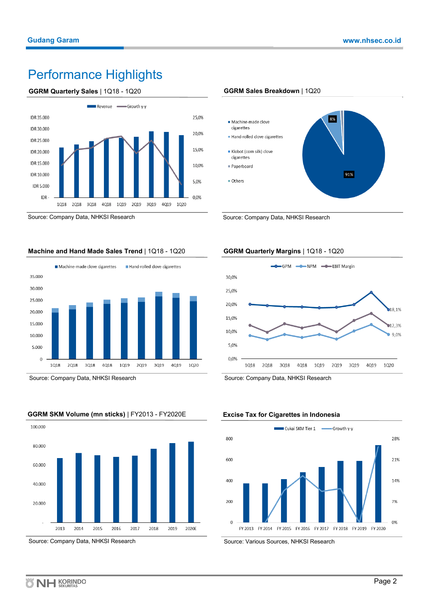# Performance Highlights

#### **GGRM Quarterly Sales** | 1Q18 - 1Q20



Source: Company Data, NHKSI Research

#### **Machine and Hand Made Sales Trend** | 1Q18 - 1Q20



Source: Company Data, NHKSI Research



### **GGRM SKM Volume (mn sticks)** | FY2013 - FY2020E

#### Source: Company Data, NHKSI Research

#### **GGRM Sales Breakdown** | 1Q20



Source: Company Data, NHKSI Research

### **GGRM Quarterly Margins** | 1Q18 - 1Q20



Source: Company Data, NHKSI Research

#### **Excise Tax for Cigarettes in Indonesia**



Source: Various Sources, NHKSI Research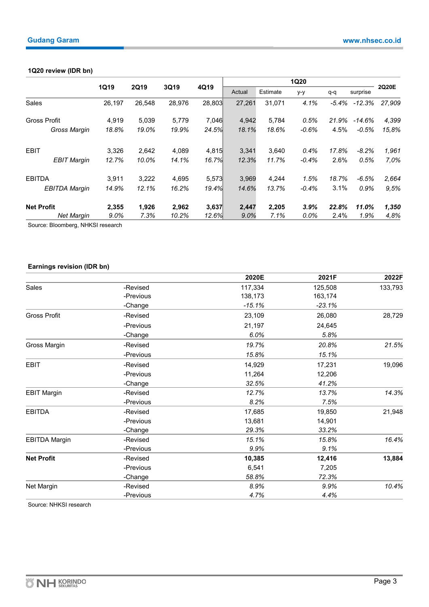### **1Q20 review (IDR bn)**

|                      |         |             |        |        | <b>1Q20</b> |        |          |          |          |        |          |       |
|----------------------|---------|-------------|--------|--------|-------------|--------|----------|----------|----------|--------|----------|-------|
|                      | 1Q19    | <b>2Q19</b> | 3Q19   |        |             | 4Q19   | Actual   | Estimate | $y-y$    | q-q    | surprise | 2Q20E |
| <b>Sales</b>         | 26,197  | 26,548      | 28,976 | 28,803 | 27,261      | 31,071 | 4.1%     | -5.4%    | $-12.3%$ | 27.909 |          |       |
| <b>Gross Profit</b>  | 4.919   | 5.039       | 5,779  | 7.046  | 4.942       | 5,784  | 0.5%     | 21.9%    | $-14.6%$ | 4,399  |          |       |
| <b>Gross Margin</b>  | 18.8%   | 19.0%       | 19.9%  | 24.5%  | 18.1%       | 18.6%  | $-0.6\%$ | 4.5%     | $-0.5%$  | 15.8%  |          |       |
| <b>EBIT</b>          | 3,326   | 2,642       | 4.089  | 4,815  | 3.341       | 3,640  | $0.4\%$  | 17.8%    | $-8.2%$  | 1,961  |          |       |
| <b>EBIT Margin</b>   | 12.7%   | 10.0%       | 14.1%  | 16.7%  | 12.3%       | 11.7%  | $-0.4\%$ | 2.6%     | 0.5%     | 7.0%   |          |       |
| <b>EBITDA</b>        | 3.911   | 3,222       | 4,695  | 5,573  | 3.969       | 4,244  | 1.5%     | 18.7%    | $-6.5%$  | 2,664  |          |       |
| <b>EBITDA Margin</b> | 14.9%   | 12.1%       | 16.2%  | 19.4%  | 14.6%       | 13.7%  | $-0.4\%$ | 3.1%     | 0.9%     | 9.5%   |          |       |
| <b>Net Profit</b>    | 2,355   | 1,926       | 2,962  | 3,637  | 2,447       | 2,205  | 3.9%     | 22.8%    | 11.0%    | 1,350  |          |       |
| <b>Net Margin</b>    | $9.0\%$ | 7.3%        | 10.2%  | 12.6%  | 9.0%        | 7.1%   | $0.0\%$  | 2.4%     | 1.9%     | 4.8%   |          |       |

Source: Bloomberg, NHKSI research

# **Earnings revision (IDR bn)**

|                      |           | 2020E    | 2021F    | 2022F   |
|----------------------|-----------|----------|----------|---------|
| Sales                | -Revised  | 117,334  | 125,508  | 133,793 |
|                      | -Previous | 138,173  | 163,174  |         |
|                      | -Change   | $-15.1%$ | $-23.1%$ |         |
| <b>Gross Profit</b>  | -Revised  | 23,109   | 26,080   | 28,729  |
|                      | -Previous | 21,197   | 24,645   |         |
|                      | -Change   | 6.0%     | 5.8%     |         |
| Gross Margin         | -Revised  | 19.7%    | 20.8%    | 21.5%   |
|                      | -Previous | 15.8%    | 15.1%    |         |
| <b>EBIT</b>          | -Revised  | 14,929   | 17,231   | 19,096  |
|                      | -Previous | 11,264   | 12,206   |         |
|                      | -Change   | 32.5%    | 41.2%    |         |
| <b>EBIT Margin</b>   | -Revised  | 12.7%    | 13.7%    | 14.3%   |
|                      | -Previous | 8.2%     | 7.5%     |         |
| <b>EBITDA</b>        | -Revised  | 17,685   | 19,850   | 21,948  |
|                      | -Previous | 13,681   | 14,901   |         |
|                      | -Change   | 29.3%    | 33.2%    |         |
| <b>EBITDA Margin</b> | -Revised  | 15.1%    | 15.8%    | 16.4%   |
|                      | -Previous | 9.9%     | 9.1%     |         |
| <b>Net Profit</b>    | -Revised  | 10,385   | 12,416   | 13,884  |
|                      | -Previous | 6,541    | 7,205    |         |
|                      | -Change   | 58.8%    | 72.3%    |         |
| Net Margin           | -Revised  | 8.9%     | 9.9%     | 10.4%   |
|                      | -Previous | 4.7%     | 4.4%     |         |

Source: NHKSI research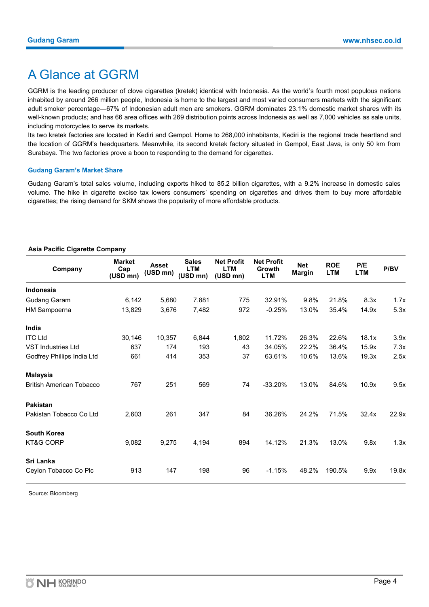# A Glance at GGRM

GGRM is the leading producer of clove cigarettes (kretek) identical with Indonesia. As the world's fourth most populous nations inhabited by around 266 million people, Indonesia is home to the largest and most varied consumers markets with the significant adult smoker percentage—67% of Indonesian adult men are smokers. GGRM dominates 23.1% domestic market shares with its well-known products; and has 66 area offices with 269 distribution points across Indonesia as well as 7,000 vehicles as sale units, including motorcycles to serve its markets.

Its two kretek factories are located in Kediri and Gempol. Home to 268,000 inhabitants, Kediri is the regional trade heartland and the location of GGRM's headquarters. Meanwhile, its second kretek factory situated in Gempol, East Java, is only 50 km from Surabaya. The two factories prove a boon to responding to the demand for cigarettes.

#### **Gudang Garam's Market Share**

Gudang Garam's total sales volume, including exports hiked to 85.2 billion cigarettes, with a 9.2% increase in domestic sales volume. The hike in cigarette excise tax lowers consumers' spending on cigarettes and drives them to buy more affordable cigarettes; the rising demand for SKM shows the popularity of more affordable products.

#### **Asia Pacific Cigarette Company**

| Company                         | <b>Market</b><br>Cap<br>$(USD\ mn)$ | <b>Asset</b><br>(USD mn) | <b>Sales</b><br><b>LTM</b><br>(USD mn) | <b>Net Profit</b><br><b>LTM</b><br>(USD mn) | <b>Net Profit</b><br>Growth<br><b>LTM</b> | <b>Net</b><br><b>Margin</b> | <b>ROE</b><br><b>LTM</b> | P/E<br><b>LTM</b> | P/BV  |
|---------------------------------|-------------------------------------|--------------------------|----------------------------------------|---------------------------------------------|-------------------------------------------|-----------------------------|--------------------------|-------------------|-------|
| <b>Indonesia</b>                |                                     |                          |                                        |                                             |                                           |                             |                          |                   |       |
| <b>Gudang Garam</b>             | 6,142                               | 5,680                    | 7,881                                  | 775                                         | 32.91%                                    | 9.8%                        | 21.8%                    | 8.3x              | 1.7x  |
| <b>HM Sampoerna</b>             | 13,829                              | 3,676                    | 7,482                                  | 972                                         | $-0.25%$                                  | 13.0%                       | 35.4%                    | 14.9x             | 5.3x  |
| India                           |                                     |                          |                                        |                                             |                                           |                             |                          |                   |       |
| <b>ITC Ltd</b>                  | 30,146                              | 10,357                   | 6,844                                  | 1,802                                       | 11.72%                                    | 26.3%                       | 22.6%                    | 18.1x             | 3.9x  |
| <b>VST Industries Ltd</b>       | 637                                 | 174                      | 193                                    | 43                                          | 34.05%                                    | 22.2%                       | 36.4%                    | 15.9x             | 7.3x  |
| Godfrey Phillips India Ltd      | 661                                 | 414                      | 353                                    | 37                                          | 63.61%                                    | 10.6%                       | 13.6%                    | 19.3x             | 2.5x  |
| <b>Malaysia</b>                 |                                     |                          |                                        |                                             |                                           |                             |                          |                   |       |
| <b>British American Tobacco</b> | 767                                 | 251                      | 569                                    | 74                                          | $-33.20%$                                 | 13.0%                       | 84.6%                    | 10.9x             | 9.5x  |
| <b>Pakistan</b>                 |                                     |                          |                                        |                                             |                                           |                             |                          |                   |       |
| Pakistan Tobacco Co Ltd         | 2,603                               | 261                      | 347                                    | 84                                          | 36.26%                                    | 24.2%                       | 71.5%                    | 32.4x             | 22.9x |
| <b>South Korea</b>              |                                     |                          |                                        |                                             |                                           |                             |                          |                   |       |
| <b>KT&amp;G CORP</b>            | 9,082                               | 9,275                    | 4,194                                  | 894                                         | 14.12%                                    | 21.3%                       | 13.0%                    | 9.8x              | 1.3x  |
| Sri Lanka                       |                                     |                          |                                        |                                             |                                           |                             |                          |                   |       |
| Ceylon Tobacco Co Plc           | 913                                 | 147                      | 198                                    | 96                                          | $-1.15%$                                  | 48.2%                       | 190.5%                   | 9.9x              | 19.8x |

Source: Bloomberg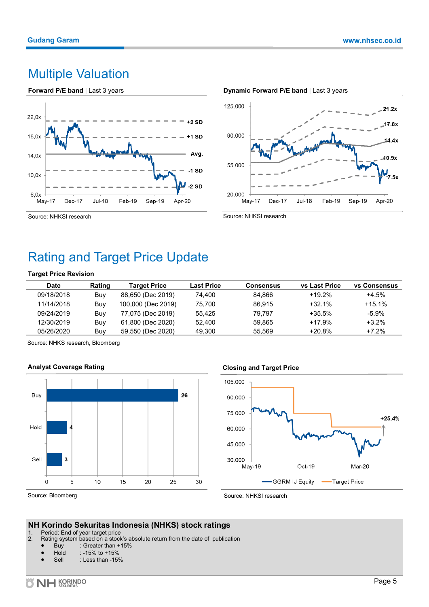# Multiple Valuation





Source: NHKSI research

# Rating and Target Price Update

### **Target Price Revision**

| Date       | Rating | <b>Target Price</b> | <b>Last Price</b> | Consensus | <b>vs Last Price</b> | <b>vs Consensus</b> |
|------------|--------|---------------------|-------------------|-----------|----------------------|---------------------|
| 09/18/2018 | Buy    | 88,650 (Dec 2019)   | 74.400            | 84.866    | $+19.2%$             | $+4.5%$             |
| 11/14/2018 | Buy    | 100,000 (Dec 2019)  | 75.700            | 86.915    | $+32.1\%$            | $+15.1%$            |
| 09/24/2019 | Buy    | 77,075 (Dec 2019)   | 55.425            | 79.797    | $+35.5\%$            | -5.9%               |
| 12/30/2019 | Buy    | 61,800 (Dec 2020)   | 52.400            | 59.865    | $+17.9%$             | $+3.2%$             |
| 05/26/2020 | Buy    | 59,550 (Dec 2020)   | 49.300            | 55.569    | $+20.8%$             | $+7.2%$             |

Source: NHKS research, Bloomberg





# **Closing and Target Price**



Source: Bloomberg

Source: NHKSI research

# **NH Korindo Sekuritas Indonesia (NHKS) stock ratings**

- 1. Period: End of year target price<br>2. Rating system based on a stock
- Rating system based on a stock's absolute return from the date of publication
	- Buy : Greater than  $+15%$ <br>Hold : -15% to  $+15%$
	- $: -15\%$  to  $+15\%$
	- Sell : Less than -15%